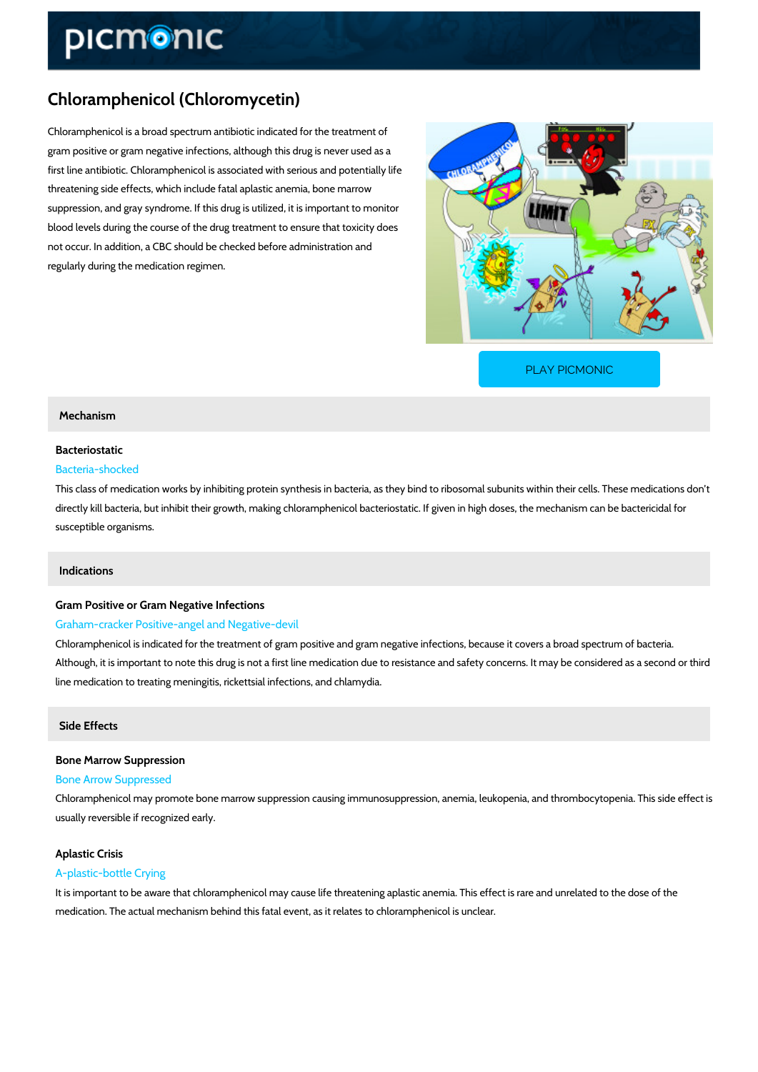## Chloramphenicol (Chloromycetin)

Chloramphenicol is a broad spectrum antibiotic indicated for the treatment of gram positive or gram negative infections, although this drug is never used as a first line antibiotic. Chloramphenicol is associated with serious and potentially life threatening side effects, which include fatal aplastic anemia, bone marrow suppression, and gray syndrome. If this drug is utilized, it is important to monitor blood levels during the course of the drug treatment to ensure that toxicity does not occur. In addition, a CBC should be checked before administration and regularly during the medication regimen.

[PLAY PICMONIC](https://www.picmonic.com/learn/chloramphenicol-chloromycetin_2003?utm_source=downloadable_content&utm_medium=distributedcontent&utm_campaign=pathways_pdf&utm_content=Chloramphenicol (Chloromycetin)&utm_ad_group=leads&utm_market=all)

### Mechanism

# Bacteriostatic

### Bacteria-shocked

This class of medication works by inhibiting protein synthesis in bacteria, as they bind to ribosomal directly kill bacteria, but inhibit their growth, making chloramphenicol bacteriostatic. If given susceptible organisms.

### Indications

## Gram Positive or Gram Negative Infections Graham-cracker Positive-angel and Negative-devil

Chloramphenicol is indicated for the treatment of gram positive and gram negative infections, Although, it is important to note this drug is not a first line medication due to resistance and line medication to treating meningitis, rickettsial infections, and chlamydia.

#### Side Effects

Bone Marrow Suppression Bone Arrow Suppressed Chloramphenicol may promote bone marrow suppression causing immunosuppression, anemia, usually reversible if recognized early.

### Aplastic Crisis A-plastic-bottle Crying

It is important to be aware that chloramphenicol may cause life threatening aplastic anemia. This is rare and u medication. The actual mechanism behind this fatal event, as it relates to chloramphenicol is